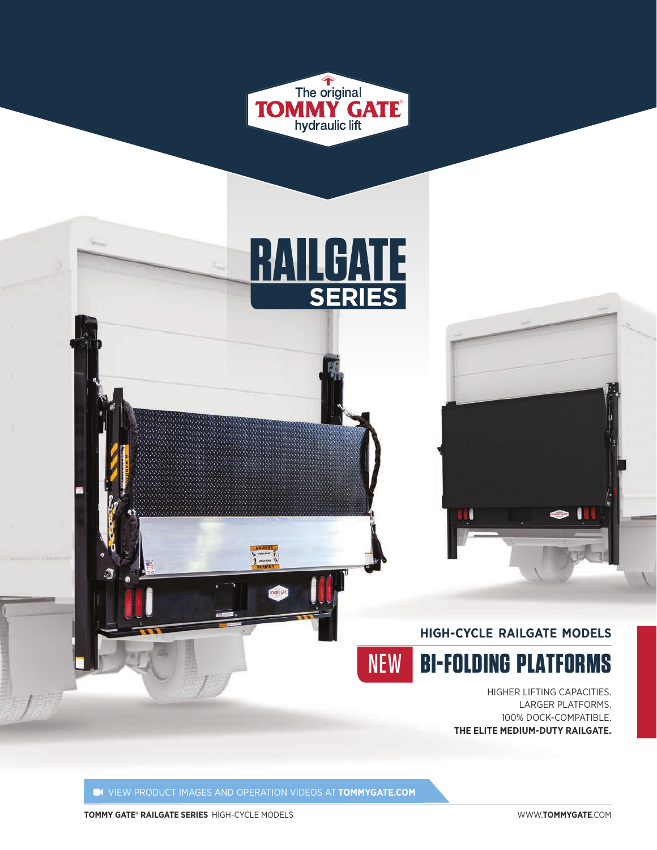





HIGHER LIFTING CAPACITIES. LARGER PLATFORMS. 100% DOCK-COMPATIBLE. **THE ELITE MEDIUM-DUTY RAILGATE.**

VIEW PRODUCT IMAGES AND OPERATION VIDEOS AT **TOMMYGATE.COM** 

**TOMMY GATE® RAILGATE SERIES** HIGH-CYCLE MODELS WWW.**TOMMYGATE**.COM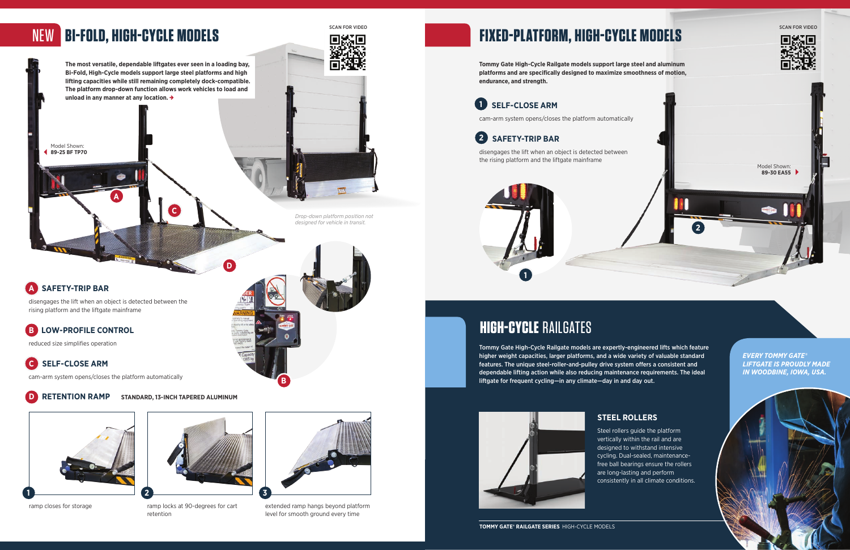**The most versatile, dependable liftgates ever seen in a loading bay, Bi-Fold, High-Cycle models support large steel platforms and high lifting capacities while still remaining completely dock-compatible. The platform drop-down function allows work vehicles to load and** 



**unload in any manner at any location.** 

# NEW **BI-FOLD, HIGH-CYCLE MODELS**

**Tommy Gate High-Cycle Railgate models support large steel and aluminum platforms and are specifically designed to maximize smoothness of motion, endurance, and strength.** 

Model Shown: **89-25 BF TP70**

ramp closes for storage ramp locks at 90-degrees for cart retention



Steel rollers guide the platform vertically within the rail and are designed to withstand intensive cycling. Dual-sealed, maintenancefree ball bearings ensure the rollers are long-lasting and perform consistently in all climate conditions.

### **STEEL ROLLERS**





**TOMMY GATE® RAILGATE SERIES** HIGH-CYCLE MODELS

reduced size simplifies operation

**B**

## **B LOW-PROFILE CONTROL** disengages the lift when an object is detected between the rising platform and the liftgate mainframe

extended ramp hangs beyond platform level for smooth ground every time

**D**



cam-arm system opens/closes the platform automatically

# **HIGH-CYCLE** RAILGATES

Tommy Gate High-Cycle Railgate models are expertly-engineered lifts which feature higher weight capacities, larger platforms, and a wide variety of valuable standard features. The unique steel-roller-and-pulley drive system offers a consistent and dependable lifting action while also reducing maintenance requirements. The ideal liftgate for frequent cycling—in any climate—day in and day out.





**D RETENTION RAMP** STANDARD, 13-INCH TAPERED ALUMINUM

# **SELF-CLOSE ARM 1**

*EVERY TOMMY GATE® LIFTGATE IS PROUDLY MADE IN WOODBINE, IOWA, USA.*

**A**

# **SAFETY-TRIP BAR 2**

disengages the lift when an object is detected between the rising platform and the liftgate mainframe



*Drop-down platform position not designed for vehicle in transit.*

 **SAFETY-TRIP BAR**

**A**

cam-arm system opens/closes the platform automatically



**C SELF-CLOSE ARM**

**C**